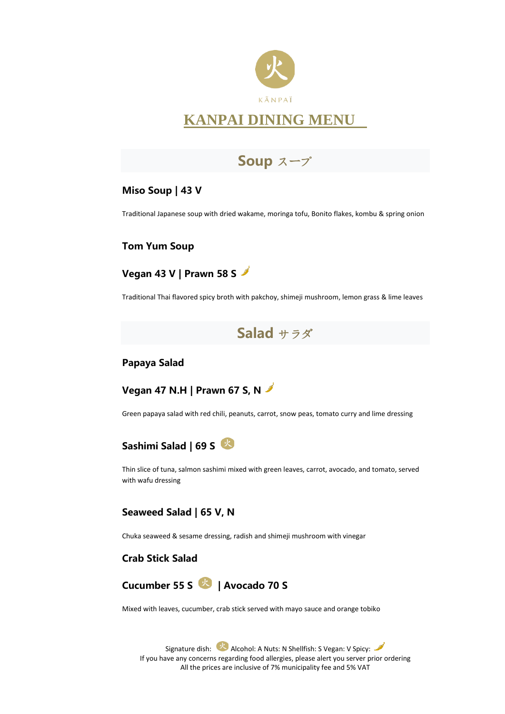

# **Soup** スープ

#### **Miso Soup | 43 V**

Traditional Japanese soup with dried wakame, moringa tofu, Bonito flakes, kombu & spring onion

#### **Tom Yum Soup**



Traditional Thai flavored spicy broth with pakchoy, shimeji mushroom, lemon grass & lime leaves



#### **Papaya Salad**



Green papaya salad with red chili, peanuts, carrot, snow peas, tomato curry and lime dressing



Thin slice of tuna, salmon sashimi mixed with green leaves, carrot, avocado, and tomato, served with wafu dressing

#### **Seaweed Salad | 65 V, N**

Chuka seaweed & sesame dressing, radish and shimeji mushroom with vinegar

#### **Crab Stick Salad**



Mixed with leaves, cucumber, crab stick served with mayo sauce and orange tobiko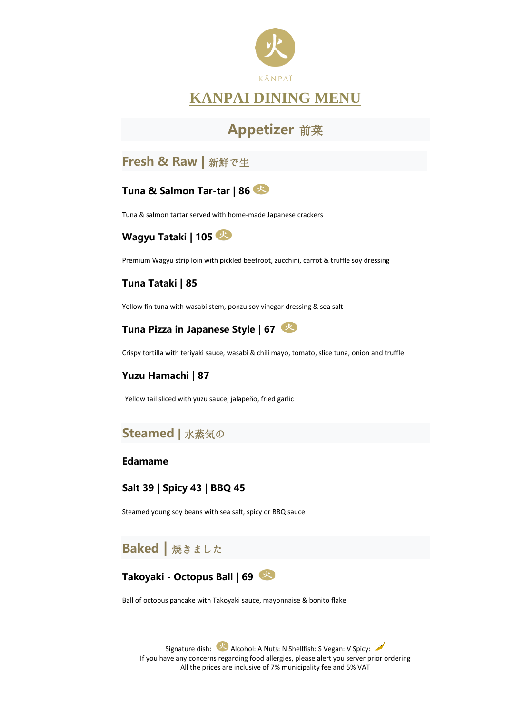

# **Appetizer** 前菜

## **Fresh & Raw |** 新鮮で生

### **Tuna & Salmon Tar-tar | 86**

Tuna & salmon tartar served with home-made Japanese crackers



Premium Wagyu strip loin with pickled beetroot, zucchini, carrot & truffle soy dressing

### **Tuna Tataki | 85**

Yellow fin tuna with wasabi stem, ponzu soy vinegar dressing & sea salt



Crispy tortilla with teriyaki sauce, wasabi & chili mayo, tomato, slice tuna, onion and truffle

### **Yuzu Hamachi | 87**

Yellow tail sliced with yuzu sauce, jalapeño, fried garlic

## **Steamed |** 水蒸気の

#### **Edamame**

#### **Salt 39 | Spicy 43 | BBQ 45**

Steamed young soy beans with sea salt, spicy or BBQ sauce

# **Baked |** 焼きました



Ball of octopus pancake with Takoyaki sauce, mayonnaise & bonito flake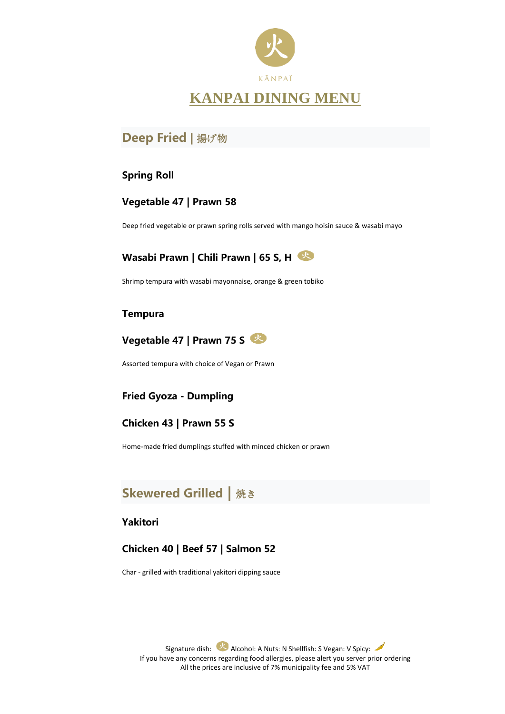

## **Deep Fried |** 揚げ物

### **Spring Roll**

#### **Vegetable 47 | Prawn 58**

Deep fried vegetable or prawn spring rolls served with mango hoisin sauce & wasabi mayo

### **Wasabi Prawn | Chili Prawn | 65 S, H**

Shrimp tempura with wasabi mayonnaise, orange & green tobiko

#### **Tempura**



Assorted tempura with choice of Vegan or Prawn

### **Fried Gyoza - Dumpling**

#### **Chicken 43 | Prawn 55 S**

Home-made fried dumplings stuffed with minced chicken or prawn

# **Skewered Grilled |** 焼き

#### **Yakitori**

### **Chicken 40 | Beef 57 | Salmon 52**

Char - grilled with traditional yakitori dipping sauce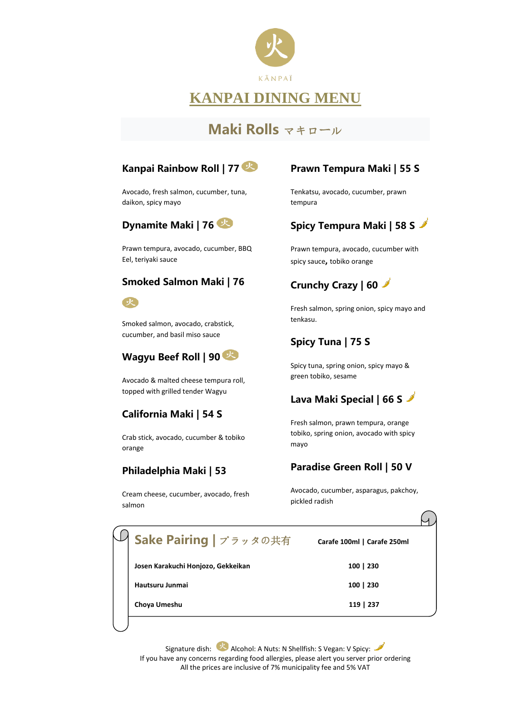

# **Maki Rolls** マキロール

### **Kanpai Rainbow Roll | 77**

Avocado, fresh salmon, cucumber, tuna, daikon, spicy mayo



Prawn tempura, avocado, cucumber, BBQ Eel, teriyaki sauce

### **Smoked Salmon Maki | 76**

火

Smoked salmon, avocado, crabstick, cucumber, and basil miso sauce

## **Wagyu Beef Roll | 90**

Avocado & malted cheese tempura roll, topped with grilled tender Wagyu

### **California Maki | 54 S**

Crab stick, avocado, cucumber & tobiko orange

### **Philadelphia Maki | 53**

Cream cheese, cucumber, avocado, fresh salmon

### **Prawn Tempura Maki | 55 S**

Tenkatsu, avocado, cucumber, prawn tempura

## **Spicy Tempura Maki | 58 S**

Prawn tempura, avocado, cucumber with spicy sauce**,** tobiko orange

## **Crunchy Crazy | 60**

Fresh salmon, spring onion, spicy mayo and tenkasu.

### **Spicy Tuna | 75 S**

Spicy tuna, spring onion, spicy mayo & green tobiko, sesame

### **Lava Maki Special | 66 S**

Fresh salmon, prawn tempura, orange tobiko, spring onion, avocado with spicy mayo

### **Paradise Green Roll | 50 V**

Avocado, cucumber, asparagus, pakchoy, pickled radish

| J Sake Pairing   プラッタの共有           | Carafe 100ml   Carafe 250ml |
|------------------------------------|-----------------------------|
| Josen Karakuchi Honjozo, Gekkeikan | 100   230                   |
| Hautsuru Junmai                    | 100   230                   |
| Choya Umeshu                       | 119   237                   |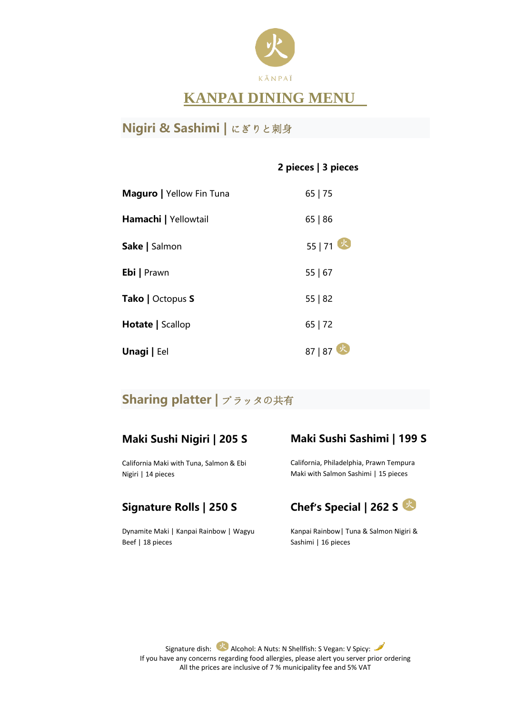

# **Nigiri & Sashimi |** にぎりと刺身

|                          | 2 pieces   3 pieces                  |
|--------------------------|--------------------------------------|
| Maguro   Yellow Fin Tuna | 65   75                              |
| Hamachi   Yellowtail     | 65   86                              |
| Sake   Salmon            | 55   71                              |
| Ebi   Prawn              | 55   67                              |
| Tako   Octopus S         | 55   82                              |
| Hotate   Scallop         | 65 72                                |
| Unagi   Eel              | $\left[ \mathcal{K}\right]$<br>87 87 |

# **Sharing platter | プラッタの共有**

### **Maki Sushi Nigiri | 205 S**

California Maki with Tuna, Salmon & Ebi Nigiri | 14 pieces

## **Signature Rolls | 250 S**

Dynamite Maki | Kanpai Rainbow | Wagyu Beef | 18 pieces

## **Maki Sushi Sashimi | 199 S**

California, Philadelphia, Prawn Tempura Maki with Salmon Sashimi | 15 pieces



Kanpai Rainbow| Tuna & Salmon Nigiri & Sashimi | 16 pieces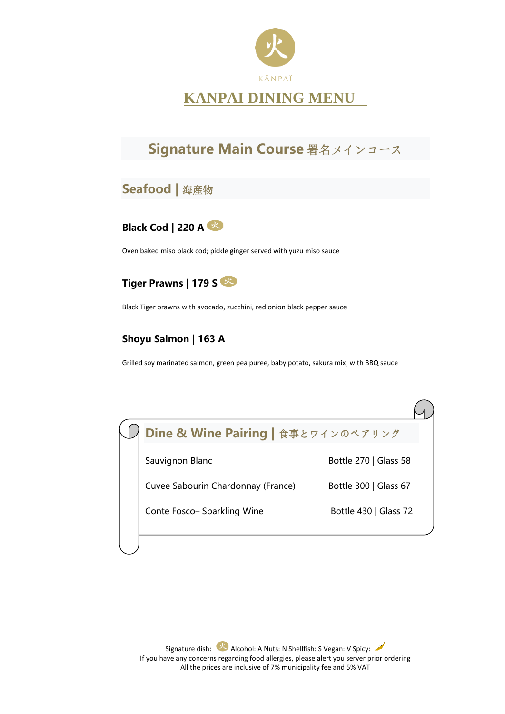

# **Signature Main Course 署名メインコース**

## **Seafood |** 海産物

### **Black Cod | 220 A**

Oven baked miso black cod; pickle ginger served with yuzu miso sauce



Black Tiger prawns with avocado, zucchini, red onion black pepper sauce

### **Shoyu Salmon | 163 A**

Grilled soy marinated salmon, green pea puree, baby potato, sakura mix, with BBQ sauce

| Dine & Wine Pairing   食事とワインのペアリング |                       |
|------------------------------------|-----------------------|
| Sauvignon Blanc                    | Bottle 270   Glass 58 |
| Cuvee Sabourin Chardonnay (France) | Bottle 300   Glass 67 |
| Conte Fosco-Sparkling Wine         | Bottle 430   Glass 72 |
|                                    |                       |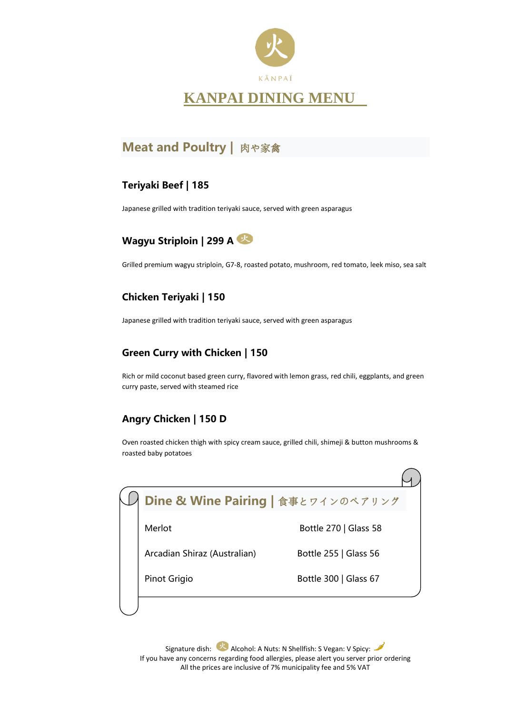

## **Meat and Poultry | 肉や家禽**

### **Teriyaki Beef | 185**

Japanese grilled with tradition teriyaki sauce, served with green asparagus



Grilled premium wagyu striploin, G7-8, roasted potato, mushroom, red tomato, leek miso, sea salt

### **Chicken Teriyaki | 150**

Japanese grilled with tradition teriyaki sauce, served with green asparagus

#### **Green Curry with Chicken | 150**

Rich or mild coconut based green curry, flavored with lemon grass, red chili, eggplants, and green curry paste, served with steamed rice

### **Angry Chicken | 150 D**

Oven roasted chicken thigh with spicy cream sauce, grilled chili, shimeji & button mushrooms & roasted baby potatoes

| Dine & Wine Pairing   食事とワインのペアリング |                       |
|------------------------------------|-----------------------|
| Merlot                             | Bottle 270   Glass 58 |
| Arcadian Shiraz (Australian)       | Bottle 255   Glass 56 |
| <b>Pinot Grigio</b>                | Bottle 300   Glass 67 |
|                                    |                       |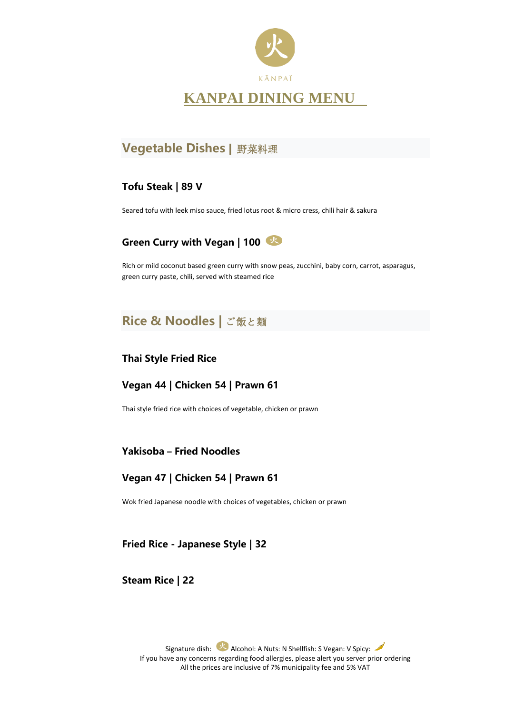

## **Vegetable Dishes |** 野菜料理

### **Tofu Steak | 89 V**

Seared tofu with leek miso sauce, fried lotus root & micro cress, chili hair & sakura

## **Green Curry with Vegan | 100**

Rich or mild coconut based green curry with snow peas, zucchini, baby corn, carrot, asparagus, green curry paste, chili, served with steamed rice

## **Rice & Noodles | ご飯と麺**

#### **Thai Style Fried Rice**

### **Vegan 44 | Chicken 54 | Prawn 61**

Thai style fried rice with choices of vegetable, chicken or prawn

#### **Yakisoba – Fried Noodles**

#### **Vegan 47 | Chicken 54 | Prawn 61**

Wok fried Japanese noodle with choices of vegetables, chicken or prawn

**Fried Rice - Japanese Style | 32**

**Steam Rice | 22**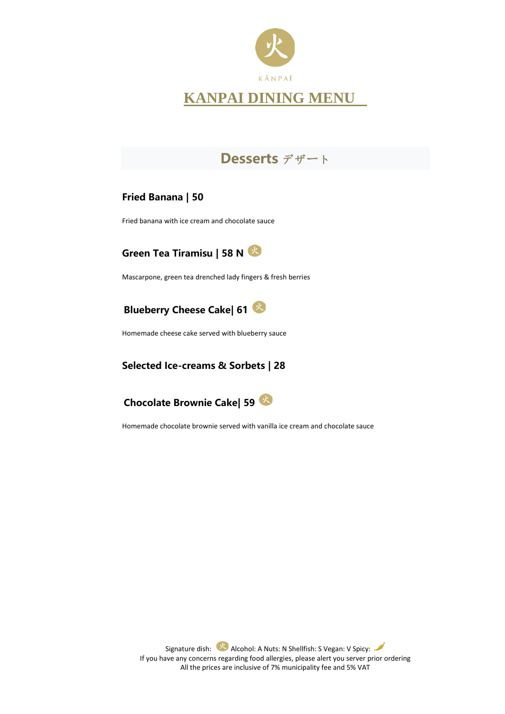

# **Desserts** デザート

### **Fried Banana | 50**

Fried banana with ice cream and chocolate sauce



Mascarpone, green tea drenched lady fingers & fresh berries

**Blueberry Cheese Cake| 61**

Homemade cheese cake served with blueberry sauce

### **Selected Ice-creams & Sorbets | 28**



Homemade chocolate brownie served with vanilla ice cream and chocolate sauce